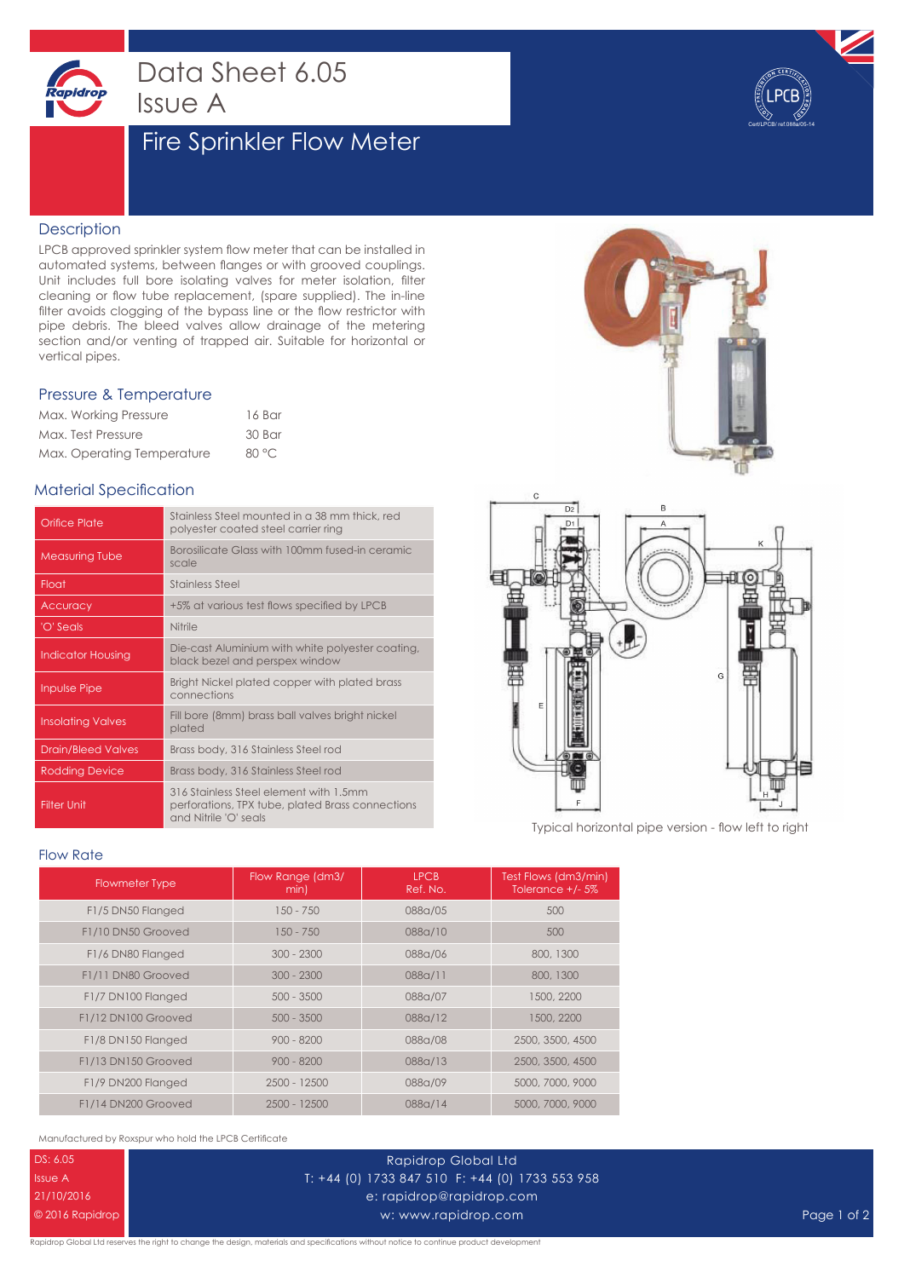

## Data Sheet 6.05 Issue A

### Fire Sprinkler Flow Meter



#### **Description**

LPCB approved sprinkler system flow meter that can be installed in automated systems, between flanges or with grooved couplings. Unit includes full bore isolating valves for meter isolation, filter cleaning or flow tube replacement, (spare supplied). The in-line filter avoids clogging of the bypass line or the flow restrictor with pipe debris. The bleed valves allow drainage of the metering section and/or venting of trapped air. Suitable for horizontal or vertical pipes.

#### Pressure & Temperature

| Max. Working Pressure      | 16 Bar |
|----------------------------|--------|
| Max. Test Pressure         | 30 Bar |
| Max. Operating Temperature | 80 °C  |

### Material Specification

| Orifice Plate             | Stainless Steel mounted in a 38 mm thick, red<br>polyester coated steel carrier ring                                |
|---------------------------|---------------------------------------------------------------------------------------------------------------------|
| <b>Measuring Tube</b>     | Borosilicate Glass with 100mm fused-in ceramic<br>scale                                                             |
| Float                     | <b>Stainless Steel</b>                                                                                              |
| Accuracy                  | +5% at various test flows specified by LPCB                                                                         |
| 'O' Seals                 | Nitrile                                                                                                             |
| <b>Indicator Housing</b>  | Die-cast Aluminium with white polyester coating,<br>black bezel and perspex window                                  |
| <b>Inpulse Pipe</b>       | Bright Nickel plated copper with plated brass<br>connections                                                        |
| <b>Insolating Valves</b>  | Fill bore (8mm) brass ball valves bright nickel<br>plated                                                           |
| <b>Drain/Bleed Valves</b> | Brass body, 316 Stainless Steel rod                                                                                 |
| <b>Rodding Device</b>     | Brass body, 316 Stainless Steel rod                                                                                 |
| <b>Filter Unit</b>        | 316 Stainless Steel element with 1.5mm<br>perforations, TPX tube, plated Brass connections<br>and Nitrile 'O' seals |





Typical horizontal pipe version - flow left to right

#### Flow Rate

| <b>Flowmeter Type</b> | Flow Range (dm3/<br>min). | <b>LPCB</b><br>Ref. No. | Test Flows (dm3/min)<br>Tolerance $+/$ - 5% |
|-----------------------|---------------------------|-------------------------|---------------------------------------------|
| F1/5 DN50 Flanged     | 150 - 750                 | 088a/05                 | 500                                         |
| F1/10 DN50 Grooved    | 150 - 750                 | 088a/10                 | 500                                         |
| F1/6 DN80 Flanged     | $300 - 2300$              | 088a/06                 | 800, 1300                                   |
| F1/11 DN80 Grooved    | $300 - 2300$              | 088a/11                 | 800, 1300                                   |
| F1/7 DN100 Flanged    | $500 - 3500$              | 088a/07                 | 1500, 2200                                  |
| F1/12 DN100 Grooved   | $500 - 3500$              | 088a/12                 | 1500, 2200                                  |
| F1/8 DN150 Flanged    | $900 - 8200$              | 088a/08                 | 2500, 3500, 4500                            |
| F1/13 DN150 Grooved   | $900 - 8200$              | 088a/13                 | 2500, 3500, 4500                            |
| F1/9 DN200 Flanged    | 2500 - 12500              | 088a/09                 | 5000, 7000, 9000                            |
| F1/14 DN200 Grooved   | $2500 - 12500$            | 088a/14                 | 5000, 7000, 9000                            |

Manufactured by Roxspur who hold the LPCB Certificate

DS: 6.05 Issue A 21/10/2016 © 2016 Rapidrop

#### Rapidrop Global Ltd T: +44 (0) 1733 847 510 F: +44 (0) 1733 553 958 e: rapidrop@rapidrop.com w: www.rapidrop.com Page 1 of 2